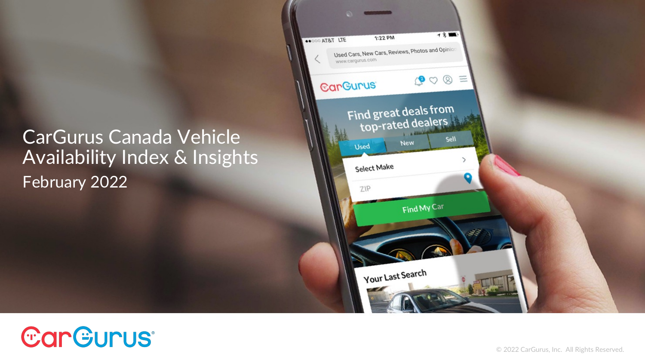CarGurus Canada Vehicle Availability Index & Insights February 2022



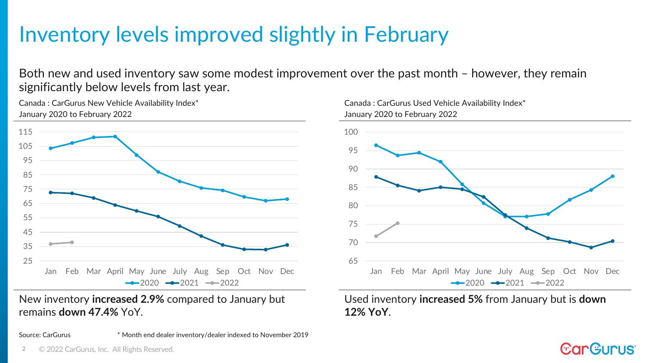## Inventory levels improved slightly in February

Both new and used inventory saw some modest improvement over the past month – however, they remain significantly below levels from last year.

Canada : CarGurus New Vehicle Availability Index\* January 2020 to February 2022



New inventory **increased 2.9%** compared to January but remains **down 47.4%** YoY.

Source: CarGurus \* Month end dealer inventory/dealer indexed to November 2019



Used inventory **increased 5%** from January but is **down 12% YoY**.

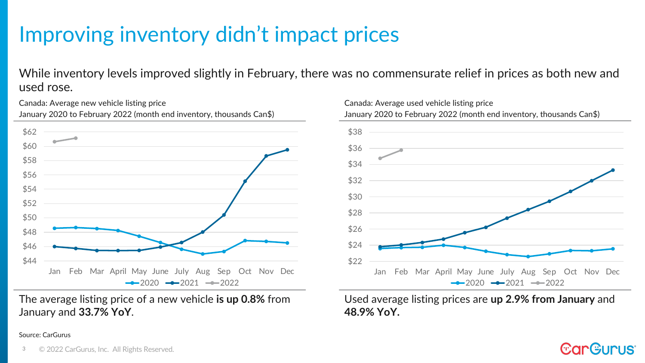# Improving inventory didn't impact prices

While inventory levels improved slightly in February, there was no commensurate relief in prices as both new and used rose.

January 2020 to February 2022 (month end inventory, thousands Can\$) \$44 \$46 \$48 \$50 \$52 \$54 \$56 \$58 \$60 \$62 Jan Feb Mar April May June July Aug Sep Oct Nov Dec  $-2020 -2021 -2022$ 

The average listing price of a new vehicle **is up 0.8%** from January and **33.7% YoY**.



Used average listing prices are **up 2.9% from January** and **48.9% YoY.**

#### Source: CarGurus

Canada: Average new vehicle listing price